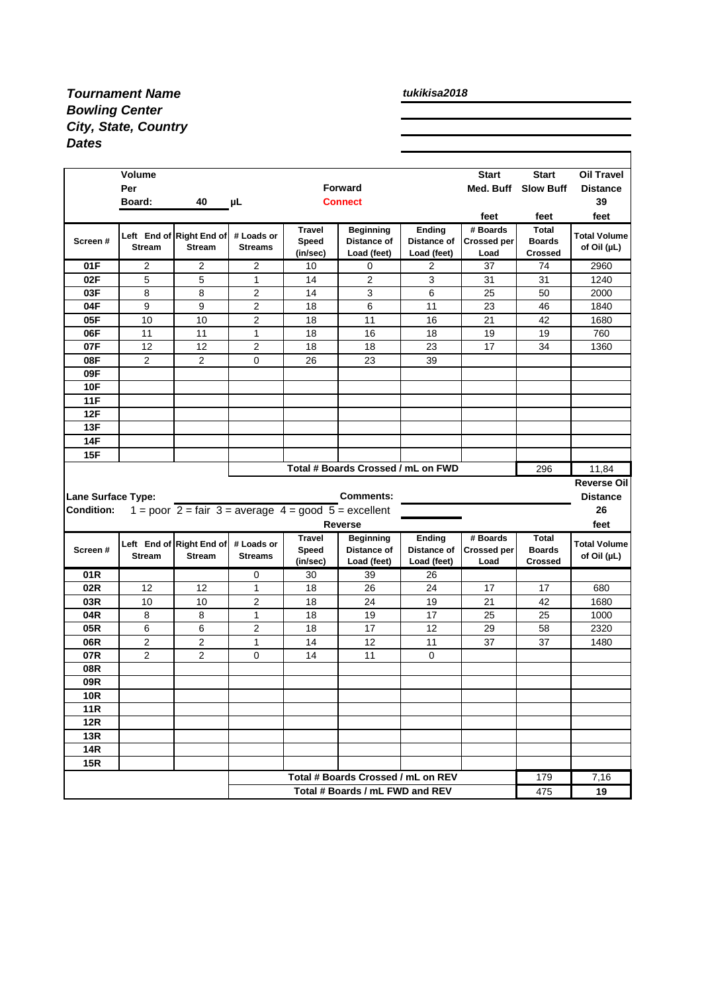## *Tournament Name Bowling Center City, State, Country Dates*

*tukikisa2018*

|                                    | <b>Volume</b>        |                                                                                       |                              |                   |                                    |                            | <b>Start</b>       | <b>Start</b>                    | <b>Oil Travel</b>                      |
|------------------------------------|----------------------|---------------------------------------------------------------------------------------|------------------------------|-------------------|------------------------------------|----------------------------|--------------------|---------------------------------|----------------------------------------|
|                                    | Per                  |                                                                                       |                              | <b>Forward</b>    |                                    |                            | Med. Buff          | <b>Slow Buff</b>                | <b>Distance</b>                        |
|                                    | Board:               | 40                                                                                    | μL                           |                   | <b>Connect</b>                     |                            |                    |                                 | 39                                     |
|                                    |                      |                                                                                       |                              |                   |                                    |                            | feet               | feet                            | feet                                   |
|                                    |                      | Left End of Right End of                                                              | # Loads or                   | <b>Travel</b>     | <b>Beginning</b>                   | Ending                     | # Boards           | <b>Total</b>                    | <b>Total Volume</b>                    |
| Screen#                            | <b>Stream</b>        | <b>Stream</b>                                                                         | <b>Streams</b>               | Speed<br>(in/sec) | Distance of                        | Distance of<br>Load (feet) | <b>Crossed per</b> | <b>Boards</b><br><b>Crossed</b> | of Oil $(\mu L)$                       |
| 01F                                | 2                    | 2                                                                                     | 2                            | 10                | Load (feet)                        |                            | Load               | 74                              |                                        |
| 02F                                | 5                    | 5                                                                                     | $\mathbf{1}$                 | 14                | 0<br>2                             | 2<br>3                     | 37<br>31           | 31                              | 2960<br>1240                           |
| 03F                                | 8                    | 8                                                                                     |                              | 14                | 3                                  | 6                          | 25                 | 50                              | 2000                                   |
| 04F                                | 9                    | 9                                                                                     | 2                            |                   | 6                                  | 11                         | 23                 |                                 |                                        |
|                                    |                      |                                                                                       | 2<br>2                       | 18                |                                    |                            |                    | 46                              | 1840                                   |
| 05F                                | 10                   | 10                                                                                    |                              | 18                | 11                                 | 16                         | 21                 | 42                              | 1680                                   |
| 06F                                | 11                   | 11                                                                                    | 1                            | 18                | 16                                 | 18                         | 19                 | 19                              | 760                                    |
| 07F                                | 12<br>$\overline{2}$ | 12                                                                                    | 2                            | 18                | 18                                 | 23                         | 17                 | 34                              | 1360                                   |
| 08F                                |                      | $\overline{c}$                                                                        | 0                            | 26                | 23                                 | 39                         |                    |                                 |                                        |
| 09F                                |                      |                                                                                       |                              |                   |                                    |                            |                    |                                 |                                        |
| <b>10F</b>                         |                      |                                                                                       |                              |                   |                                    |                            |                    |                                 |                                        |
| <b>11F</b>                         |                      |                                                                                       |                              |                   |                                    |                            |                    |                                 |                                        |
| 12F                                |                      |                                                                                       |                              |                   |                                    |                            |                    |                                 |                                        |
| 13F                                |                      |                                                                                       |                              |                   |                                    |                            |                    |                                 |                                        |
| 14F                                |                      |                                                                                       |                              |                   |                                    |                            |                    |                                 |                                        |
| 15F                                |                      |                                                                                       |                              |                   |                                    |                            |                    |                                 |                                        |
| Total # Boards Crossed / mL on FWD |                      |                                                                                       |                              |                   |                                    |                            |                    |                                 | 11,84                                  |
|                                    |                      |                                                                                       |                              |                   |                                    |                            |                    | 296                             |                                        |
|                                    |                      |                                                                                       |                              |                   |                                    |                            |                    |                                 |                                        |
| Lane Surface Type:                 |                      |                                                                                       |                              |                   | <b>Comments:</b>                   |                            |                    |                                 | <b>Reverse Oill</b><br><b>Distance</b> |
| <b>Condition:</b>                  |                      | 1 = poor $2 = \text{fair } 3 = \text{average } 4 = \text{good } 5 = \text{excellent}$ |                              |                   |                                    |                            |                    |                                 | 26                                     |
|                                    |                      |                                                                                       |                              |                   | <b>Reverse</b>                     |                            |                    |                                 | feet                                   |
|                                    |                      |                                                                                       |                              | <b>Travel</b>     | <b>Beginning</b>                   | Ending                     | # Boards           | <b>Total</b>                    |                                        |
| Screen#                            | <b>Stream</b>        | Left End of Right End of<br><b>Stream</b>                                             | # Loads or<br><b>Streams</b> | Speed             | Distance of                        | Distance of                | <b>Crossed per</b> | <b>Boards</b>                   | <b>Total Volume</b>                    |
|                                    |                      |                                                                                       |                              | (in/sec)          | Load (feet)                        | Load (feet)                | Load               | <b>Crossed</b>                  | of Oil (µL)                            |
| 01 <sub>R</sub>                    |                      |                                                                                       | 0                            | 30                | 39                                 | 26                         |                    |                                 |                                        |
| 02R                                | 12                   | 12                                                                                    | 1                            | 18                | 26                                 | 24                         | 17                 | 17                              | 680                                    |
| 03R                                | 10                   | 10                                                                                    | 2                            | 18                | 24                                 | 19                         | 21                 | 42                              | 1680                                   |
| 04R                                | 8                    | 8                                                                                     | $\mathbf{1}$                 | 18                | 19                                 | 17                         | 25                 | 25                              | 1000                                   |
| 05R                                | 6                    | 6                                                                                     | 2                            | 18                | 17                                 | 12                         | 29                 | 58                              | 2320                                   |
| 06R                                | $\overline{c}$       | 2                                                                                     | $\mathbf{1}$                 | 14                | 12                                 | 11                         | 37                 | 37                              | 1480                                   |
| 07R                                | 2                    | 2                                                                                     | 0                            | 14                | 11                                 | 0                          |                    |                                 |                                        |
| 08R                                |                      |                                                                                       |                              |                   |                                    |                            |                    |                                 |                                        |
| 09R                                |                      |                                                                                       |                              |                   |                                    |                            |                    |                                 |                                        |
| <b>10R</b>                         |                      |                                                                                       |                              |                   |                                    |                            |                    |                                 |                                        |
| <b>11R</b>                         |                      |                                                                                       |                              |                   |                                    |                            |                    |                                 |                                        |
| <b>12R</b>                         |                      |                                                                                       |                              |                   |                                    |                            |                    |                                 |                                        |
| <b>13R</b>                         |                      |                                                                                       |                              |                   |                                    |                            |                    |                                 |                                        |
| <b>14R</b>                         |                      |                                                                                       |                              |                   |                                    |                            |                    |                                 |                                        |
| <b>15R</b>                         |                      |                                                                                       |                              |                   |                                    |                            |                    |                                 |                                        |
|                                    |                      |                                                                                       |                              |                   | Total # Boards Crossed / mL on REV |                            |                    | 179                             | 7,16                                   |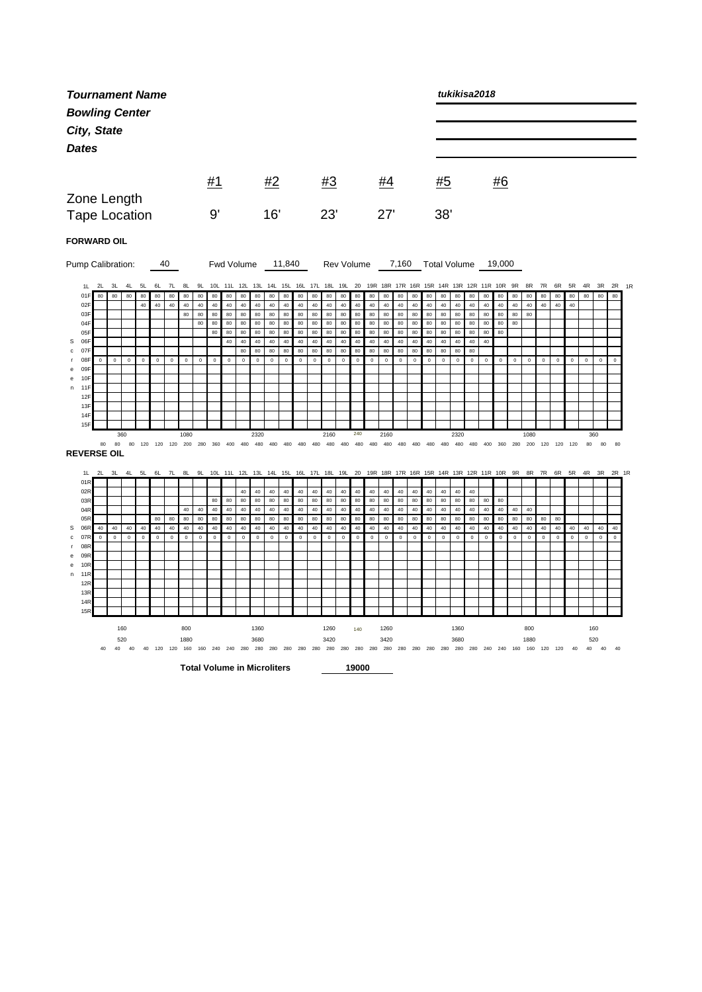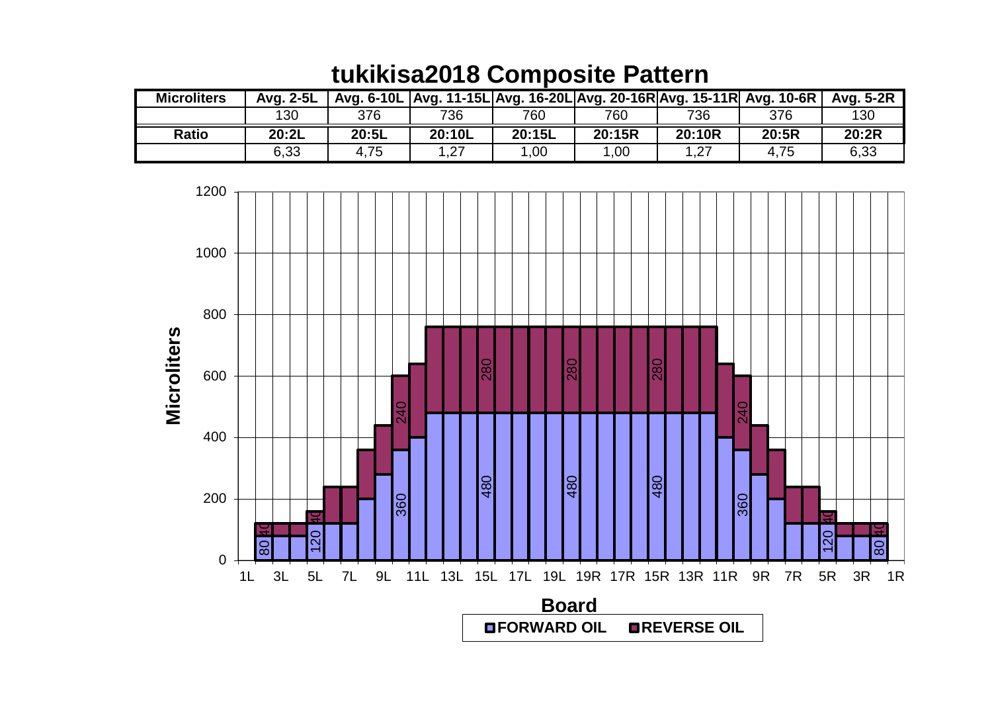| <b>Microliters</b> | Avg. 2-5L |       | Avg. 6-10L Avg. 11-15L Avg. 16-20L Avg. 20-16R Avg. 15-11R Avg. 10-6R |        |        |        |       | Avg. 5-2R |
|--------------------|-----------|-------|-----------------------------------------------------------------------|--------|--------|--------|-------|-----------|
|                    | 130       | 376   | 736                                                                   | 760    | 760    | 736    | 376   | 130       |
| <b>Ratio</b>       | 20:2L     | 20:5L | 20:10L                                                                | 20:15L | 20:15R | 20:10R | 20:5R | 20:2R     |
|                    | 6,33      | 4,75  | 1,27                                                                  | 1.00   | 1.00   | 1,27   | 4,75  | 6,33      |